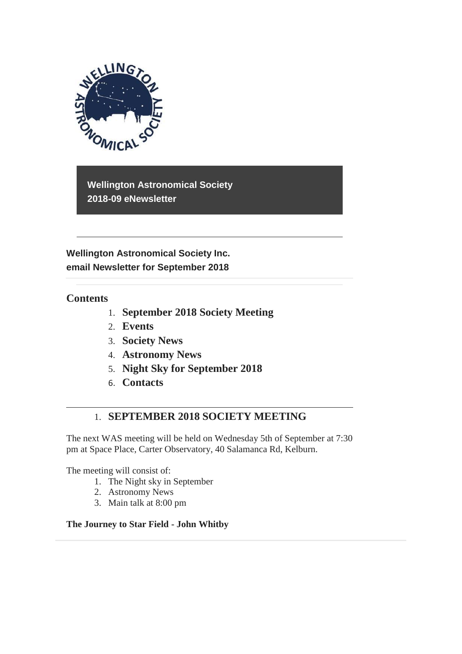

**Wellington Astronomical Society 2018-09 eNewsletter**

**Wellington Astronomical Society Inc. email Newsletter for September 2018** 

### **Contents**

- 1. **September 2018 Society Meeting**
- 2. **Events**
- 3. **Society News**
- 4. **Astronomy News**
- 5. **Night Sky for September 2018**
- 6. **Contacts**

## 1. **SEPTEMBER 2018 SOCIETY MEETING**

The next WAS meeting will be held on Wednesday 5th of September at 7:30 pm at Space Place, Carter Observatory, 40 Salamanca Rd, Kelburn.

The meeting will consist of:

- 1. The Night sky in September
- 2. Astronomy News
- 3. Main talk at 8:00 pm

#### **The Journey to Star Field - John Whitby**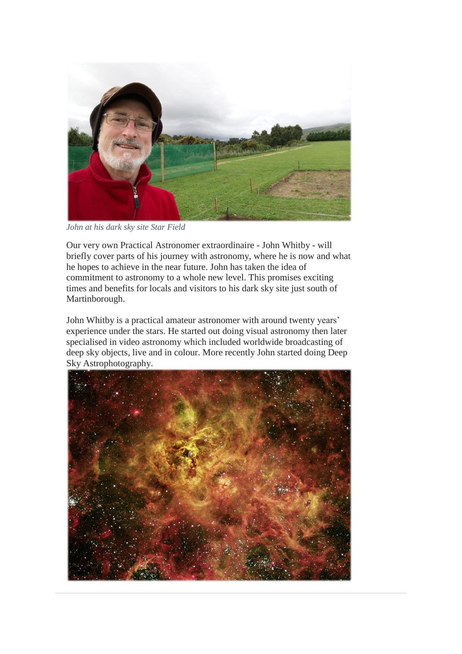

*John at his dark sky site Star Field*

Our very own Practical Astronomer extraordinaire - John Whitby - will briefly cover parts of his journey with astronomy, where he is now and what he hopes to achieve in the near future. John has taken the idea of commitment to astronomy to a whole new level. This promises exciting times and benefits for locals and visitors to his dark sky site just south of Martinborough.

John Whitby is a practical amateur astronomer with around twenty years' experience under the stars. He started out doing visual astronomy then later specialised in video astronomy which included worldwide broadcasting of deep sky objects, live and in colour. More recently John started doing Deep Sky Astrophotography.

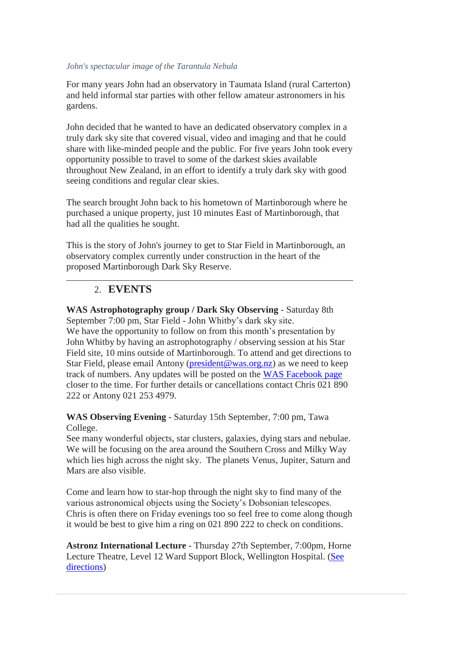#### *John's spectacular image of the Tarantula Nebula*

For many years John had an observatory in Taumata Island (rural Carterton) and held informal star parties with other fellow amateur astronomers in his gardens.

John decided that he wanted to have an dedicated observatory complex in a truly dark sky site that covered visual, video and imaging and that he could share with like-minded people and the public. For five years John took every opportunity possible to travel to some of the darkest skies available throughout New Zealand, in an effort to identify a truly dark sky with good seeing conditions and regular clear skies.

The search brought John back to his hometown of Martinborough where he purchased a unique property, just 10 minutes East of Martinborough, that had all the qualities he sought.

This is the story of John's journey to get to Star Field in Martinborough, an observatory complex currently under construction in the heart of the proposed Martinborough Dark Sky Reserve.

### 2. **EVENTS**

**WAS Astrophotography group / Dark Sky Observing** - Saturday 8th September 7:00 pm, Star Field - John Whitby's dark sky site. We have the opportunity to follow on from this month's presentation by John Whitby by having an astrophotography / observing session at his Star Field site, 10 mins outside of Martinborough. To attend and get directions to Star Field, please email Antony [\(president@was.org.nz\)](mailto:president@was.org.nz) as we need to keep track of numbers. Any updates will be posted on the [WAS Facebook page](https://www.facebook.com/WellingtonAstronomicalSociety/) closer to the time. For further details or cancellations contact Chris 021 890 222 or Antony 021 253 4979.

**WAS Observing Evening** - Saturday 15th September, 7:00 pm, Tawa College.

See many wonderful objects, star clusters, galaxies, dying stars and nebulae. We will be focusing on the area around the Southern Cross and Milky Way which lies high across the night sky. The planets Venus, Jupiter, Saturn and Mars are also visible.

Come and learn how to star-hop through the night sky to find many of the various astronomical objects using the Society's Dobsonian telescopes. Chris is often there on Friday evenings too so feel free to come along though it would be best to give him a ring on 021 890 222 to check on conditions.

**Astronz International Lecture** - Thursday 27th September, 7:00pm, Horne Lecture Theatre, Level 12 Ward Support Block, Wellington Hospital. [\(See](https://www.ccdhb.org.nz/working-with-us/nursing-and-midwifery-workforce-development/preceptorship-and-supervision/detailed-map-instructions-to-level-12-wsb.pdf)  [directions\)](https://www.ccdhb.org.nz/working-with-us/nursing-and-midwifery-workforce-development/preceptorship-and-supervision/detailed-map-instructions-to-level-12-wsb.pdf)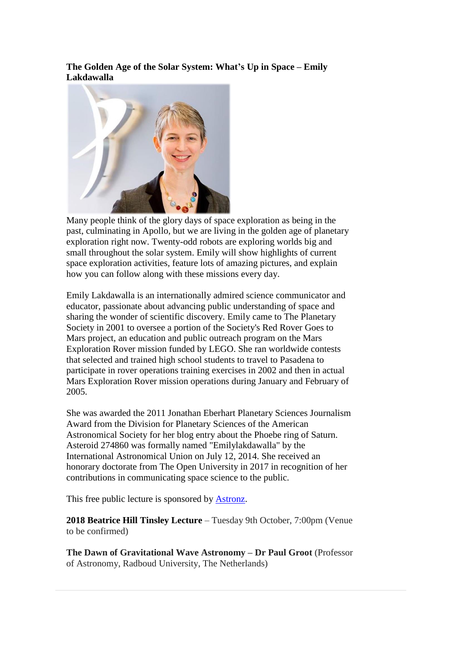**The Golden Age of the Solar System: What's Up in Space – Emily Lakdawalla**



Many people think of the glory days of space exploration as being in the past, culminating in Apollo, but we are living in the golden age of planetary exploration right now. Twenty-odd robots are exploring worlds big and small throughout the solar system. Emily will show highlights of current space exploration activities, feature lots of amazing pictures, and explain how you can follow along with these missions every day.

Emily Lakdawalla is an internationally admired science communicator and educator, passionate about advancing public understanding of space and sharing the wonder of scientific discovery. Emily came to The Planetary Society in 2001 to oversee a portion of the Society's Red Rover Goes to Mars project, an education and public outreach program on the Mars Exploration Rover mission funded by LEGO. She ran worldwide contests that selected and trained high school students to travel to Pasadena to participate in rover operations training exercises in 2002 and then in actual Mars Exploration Rover mission operations during January and February of 2005.

She was awarded the 2011 Jonathan Eberhart Planetary Sciences Journalism Award from the Division for Planetary Sciences of the American Astronomical Society for her blog entry about the Phoebe ring of Saturn. Asteroid 274860 was formally named "Emilylakdawalla" by the International Astronomical Union on July 12, 2014. She received an honorary doctorate from The Open University in 2017 in recognition of her contributions in communicating space science to the public.

This free public lecture is sponsored by [Astronz.](https://www.astronz.nz/shop/)

**2018 Beatrice Hill Tinsley Lecture** – Tuesday 9th October, 7:00pm (Venue to be confirmed)

**The Dawn of Gravitational Wave Astronomy – Dr Paul Groot** (Professor of Astronomy, Radboud University, The Netherlands)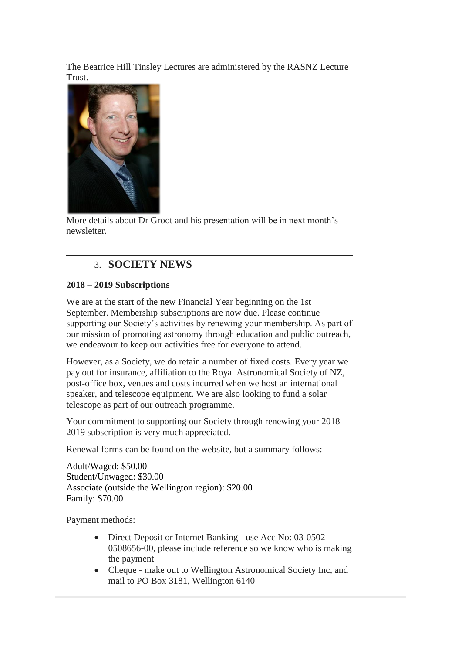The Beatrice Hill Tinsley Lectures are administered by the RASNZ Lecture Trust.



More details about Dr Groot and his presentation will be in next month's newsletter.

# 3. **SOCIETY NEWS**

#### **2018 – 2019 Subscriptions**

We are at the start of the new Financial Year beginning on the 1st September. Membership subscriptions are now due. Please continue supporting our Society's activities by renewing your membership. As part of our mission of promoting astronomy through education and public outreach, we endeavour to keep our activities free for everyone to attend.

However, as a Society, we do retain a number of fixed costs. Every year we pay out for insurance, affiliation to the Royal Astronomical Society of NZ, post-office box, venues and costs incurred when we host an international speaker, and telescope equipment. We are also looking to fund a solar telescope as part of our outreach programme.

Your commitment to supporting our Society through renewing your 2018 – 2019 subscription is very much appreciated.

Renewal forms can be found on the website, but a summary follows:

Adult/Waged: \$50.00 Student/Unwaged: \$30.00 Associate (outside the Wellington region): \$20.00 Family: \$70.00

Payment methods:

- Direct Deposit or Internet Banking use Acc No: 03-0502- 0508656-00, please include reference so we know who is making the payment
- Cheque make out to Wellington Astronomical Society Inc, and mail to PO Box 3181, Wellington 6140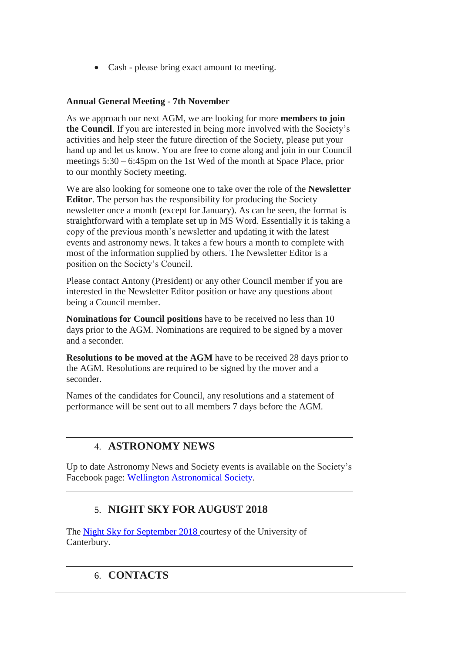• Cash - please bring exact amount to meeting.

### **Annual General Meeting - 7th November**

As we approach our next AGM, we are looking for more **members to join the Council**. If you are interested in being more involved with the Society's activities and help steer the future direction of the Society, please put your hand up and let us know. You are free to come along and join in our Council meetings 5:30 – 6:45pm on the 1st Wed of the month at Space Place, prior to our monthly Society meeting.

We are also looking for someone one to take over the role of the **Newsletter Editor**. The person has the responsibility for producing the Society newsletter once a month (except for January). As can be seen, the format is straightforward with a template set up in MS Word. Essentially it is taking a copy of the previous month's newsletter and updating it with the latest events and astronomy news. It takes a few hours a month to complete with most of the information supplied by others. The Newsletter Editor is a position on the Society's Council.

Please contact Antony (President) or any other Council member if you are interested in the Newsletter Editor position or have any questions about being a Council member.

**Nominations for Council positions** have to be received no less than 10 days prior to the AGM. Nominations are required to be signed by a mover and a seconder.

**Resolutions to be moved at the AGM** have to be received 28 days prior to the AGM. Resolutions are required to be signed by the mover and a seconder.

Names of the candidates for Council, any resolutions and a statement of performance will be sent out to all members 7 days before the AGM.

## 4. **ASTRONOMY NEWS**

Up to date Astronomy News and Society events is available on the Society's Facebook page: [Wellington Astronomical Society.](http://www.facebook.com/WellingtonAstronomicalSociety/)

## 5. **NIGHT SKY FOR AUGUST 2018**

The [Night Sky for](https://drive.google.com/open?id=1_KZ7StGZquuuiOIhOoIjDrVoAijdVtjV) September 2018 courtesy of the University of Canterbury.

## 6. **CONTACTS**